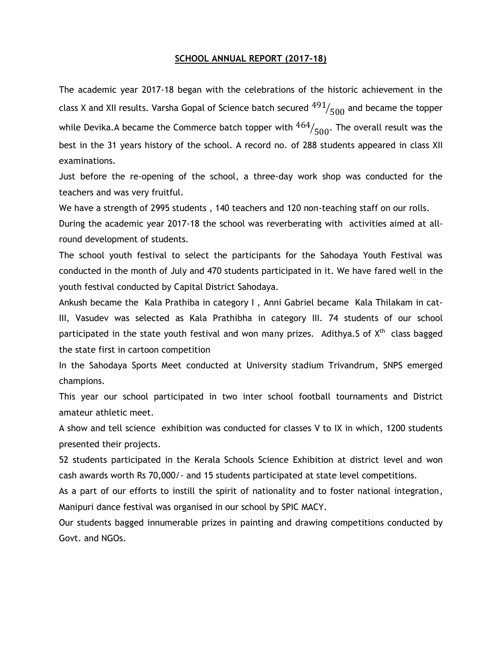## **SCHOOL ANNUAL REPORT (2017-18)**

The academic year 2017-18 began with the celebrations of the historic achievement in the class X and XII results. Varsha Gopal of Science batch secured  $^{491}\!/_{500}$  and became the topper while Devika.A became the Commerce batch topper with  $^{464}\!/_{500}.$  The overall result was the best in the 31 years history of the school. A record no. of 288 students appeared in class XII examinations.

Just before the re-opening of the school, a three-day work shop was conducted for the teachers and was very fruitful.

We have a strength of 2995 students , 140 teachers and 120 non-teaching staff on our rolls.

During the academic year 2017-18 the school was reverberating with activities aimed at allround development of students.

The school youth festival to select the participants for the Sahodaya Youth Festival was conducted in the month of July and 470 students participated in it. We have fared well in the youth festival conducted by Capital District Sahodaya.

Ankush became the Kala Prathiba in category I , Anni Gabriel became Kala Thilakam in cat-III, Vasudev was selected as Kala Prathibha in category III. 74 students of our school participated in the state youth festival and won many prizes. Adithya.S of X<sup>th</sup> class bagged the state first in cartoon competition

In the Sahodaya Sports Meet conducted at University stadium Trivandrum, SNPS emerged champions.

This year our school participated in two inter school football tournaments and District amateur athletic meet.

A show and tell science exhibition was conducted for classes V to IX in which, 1200 students presented their projects.

52 students participated in the Kerala Schools Science Exhibition at district level and won cash awards worth Rs 70,000/- and 15 students participated at state level competitions.

As a part of our efforts to instill the spirit of nationality and to foster national integration, Manipuri dance festival was organised in our school by SPIC MACY.

Our students bagged innumerable prizes in painting and drawing competitions conducted by Govt. and NGOs.